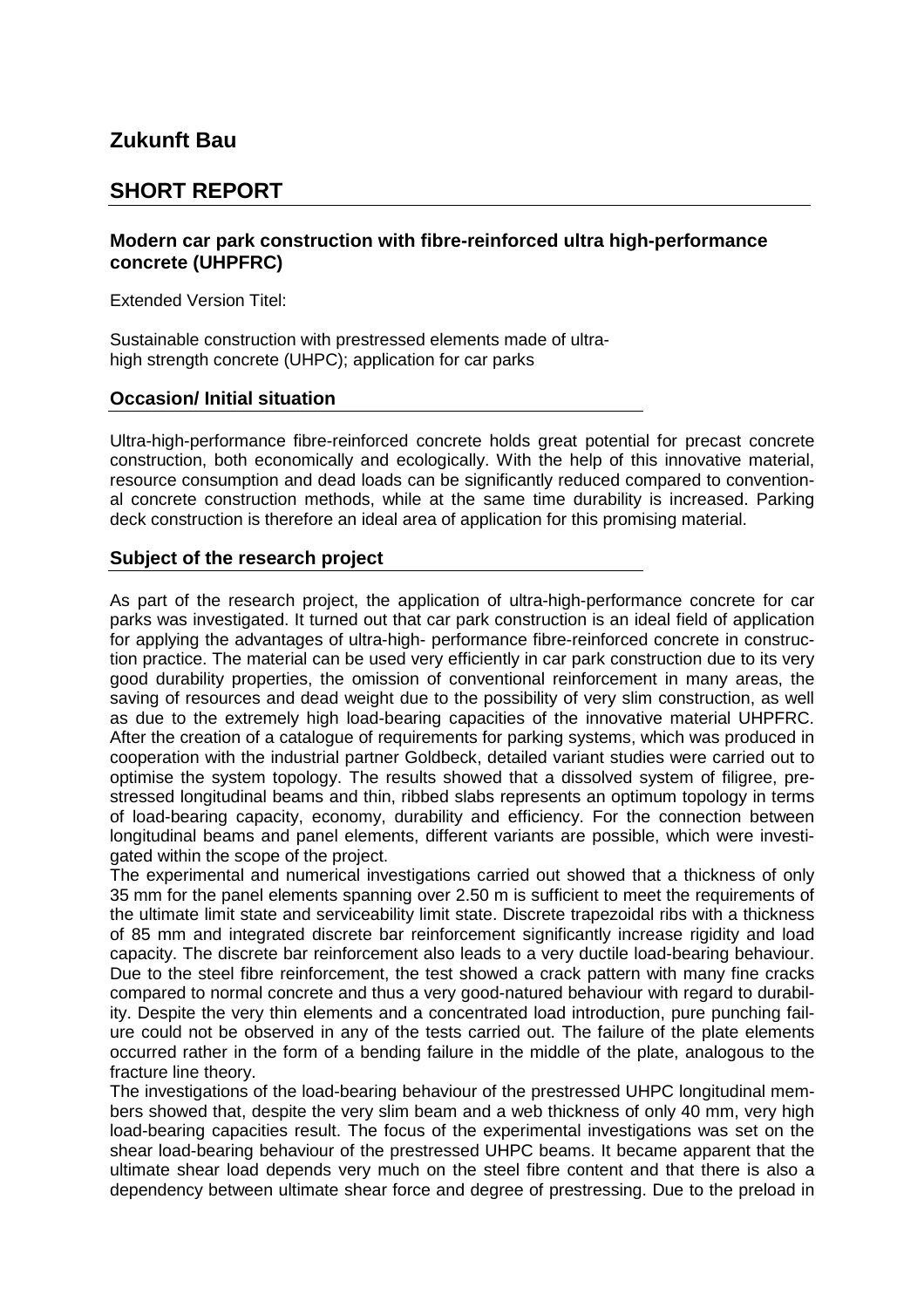# **Zukunft Bau**

### **SHORT REPORT**

### **Modern car park construction with fibre-reinforced ultra high-performance concrete (UHPFRC)**

Extended Version Titel:

Sustainable construction with prestressed elements made of ultrahigh strength concrete (UHPC); application for car parks

### **Occasion/ Initial situation**

Ultra-high-performance fibre-reinforced concrete holds great potential for precast concrete construction, both economically and ecologically. With the help of this innovative material, resource consumption and dead loads can be significantly reduced compared to conventional concrete construction methods, while at the same time durability is increased. Parking deck construction is therefore an ideal area of application for this promising material.

### **Subject of the research project**

As part of the research project, the application of ultra-high-performance concrete for car parks was investigated. It turned out that car park construction is an ideal field of application for applying the advantages of ultra-high- performance fibre-reinforced concrete in construction practice. The material can be used very efficiently in car park construction due to its very good durability properties, the omission of conventional reinforcement in many areas, the saving of resources and dead weight due to the possibility of very slim construction, as well as due to the extremely high load-bearing capacities of the innovative material UHPFRC. After the creation of a catalogue of requirements for parking systems, which was produced in cooperation with the industrial partner Goldbeck, detailed variant studies were carried out to optimise the system topology. The results showed that a dissolved system of filigree, prestressed longitudinal beams and thin, ribbed slabs represents an optimum topology in terms of load-bearing capacity, economy, durability and efficiency. For the connection between longitudinal beams and panel elements, different variants are possible, which were investigated within the scope of the project.

The experimental and numerical investigations carried out showed that a thickness of only 35 mm for the panel elements spanning over 2.50 m is sufficient to meet the requirements of the ultimate limit state and serviceability limit state. Discrete trapezoidal ribs with a thickness of 85 mm and integrated discrete bar reinforcement significantly increase rigidity and load capacity. The discrete bar reinforcement also leads to a very ductile load-bearing behaviour. Due to the steel fibre reinforcement, the test showed a crack pattern with many fine cracks compared to normal concrete and thus a very good-natured behaviour with regard to durability. Despite the very thin elements and a concentrated load introduction, pure punching failure could not be observed in any of the tests carried out. The failure of the plate elements occurred rather in the form of a bending failure in the middle of the plate, analogous to the fracture line theory.

The investigations of the load-bearing behaviour of the prestressed UHPC longitudinal members showed that, despite the very slim beam and a web thickness of only 40 mm, very high load-bearing capacities result. The focus of the experimental investigations was set on the shear load-bearing behaviour of the prestressed UHPC beams. It became apparent that the ultimate shear load depends very much on the steel fibre content and that there is also a dependency between ultimate shear force and degree of prestressing. Due to the preload in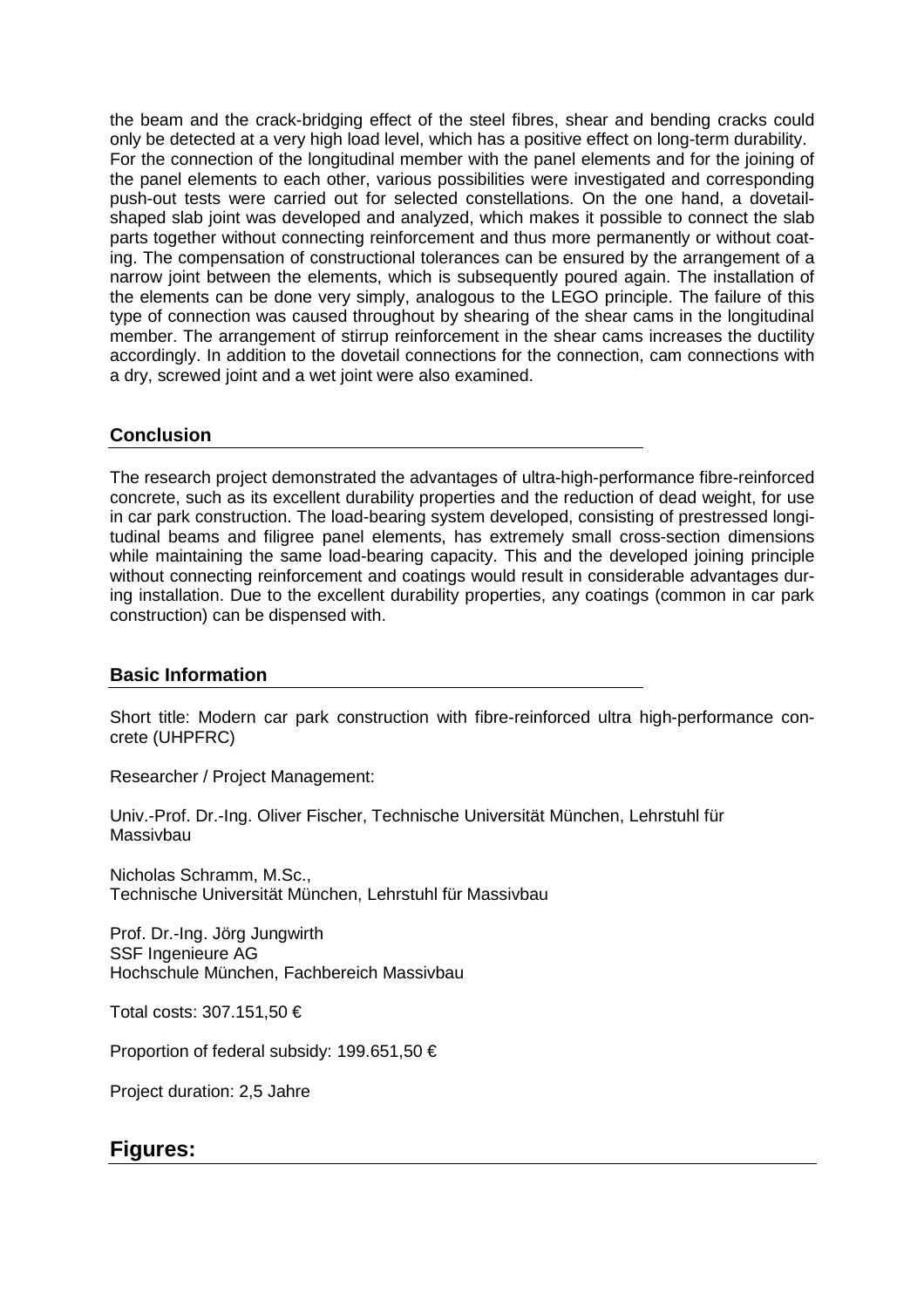the beam and the crack-bridging effect of the steel fibres, shear and bending cracks could only be detected at a very high load level, which has a positive effect on long-term durability. For the connection of the longitudinal member with the panel elements and for the joining of the panel elements to each other, various possibilities were investigated and corresponding push-out tests were carried out for selected constellations. On the one hand, a dovetailshaped slab joint was developed and analyzed, which makes it possible to connect the slab parts together without connecting reinforcement and thus more permanently or without coating. The compensation of constructional tolerances can be ensured by the arrangement of a narrow joint between the elements, which is subsequently poured again. The installation of the elements can be done very simply, analogous to the LEGO principle. The failure of this type of connection was caused throughout by shearing of the shear cams in the longitudinal member. The arrangement of stirrup reinforcement in the shear cams increases the ductility accordingly. In addition to the dovetail connections for the connection, cam connections with a dry, screwed joint and a wet joint were also examined.

### **Conclusion**

The research project demonstrated the advantages of ultra-high-performance fibre-reinforced concrete, such as its excellent durability properties and the reduction of dead weight, for use in car park construction. The load-bearing system developed, consisting of prestressed longitudinal beams and filigree panel elements, has extremely small cross-section dimensions while maintaining the same load-bearing capacity. This and the developed joining principle without connecting reinforcement and coatings would result in considerable advantages during installation. Due to the excellent durability properties, any coatings (common in car park construction) can be dispensed with.

#### **Basic Information**

Short title: Modern car park construction with fibre-reinforced ultra high-performance concrete (UHPFRC)

Researcher / Project Management:

Univ.-Prof. Dr.-Ing. Oliver Fischer, Technische Universität München, Lehrstuhl für Massivbau

Nicholas Schramm, M.Sc., Technische Universität München, Lehrstuhl für Massivbau

Prof. Dr.-Ing. Jörg Jungwirth SSF Ingenieure AG Hochschule München, Fachbereich Massivbau

Total costs: 307.151,50 €

Proportion of federal subsidy: 199.651,50 €

Project duration: 2,5 Jahre

## **Figures:**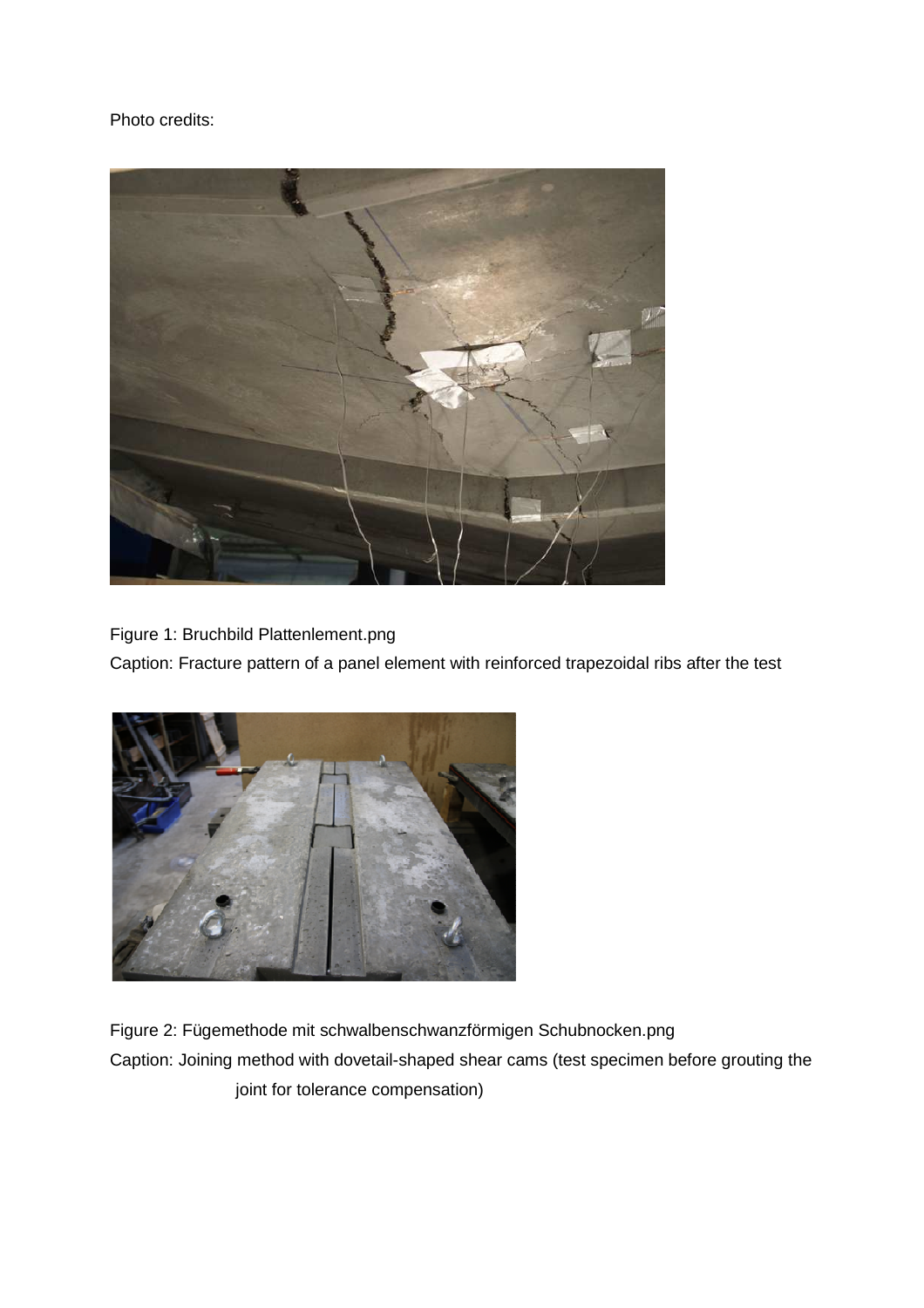Photo credits:



Figure 1: Bruchbild Plattenlement.png

Caption: Fracture pattern of a panel element with reinforced trapezoidal ribs after the test



Figure 2: Fügemethode mit schwalbenschwanzförmigen Schubnocken.png Caption: Joining method with dovetail-shaped shear cams (test specimen before grouting the joint for tolerance compensation)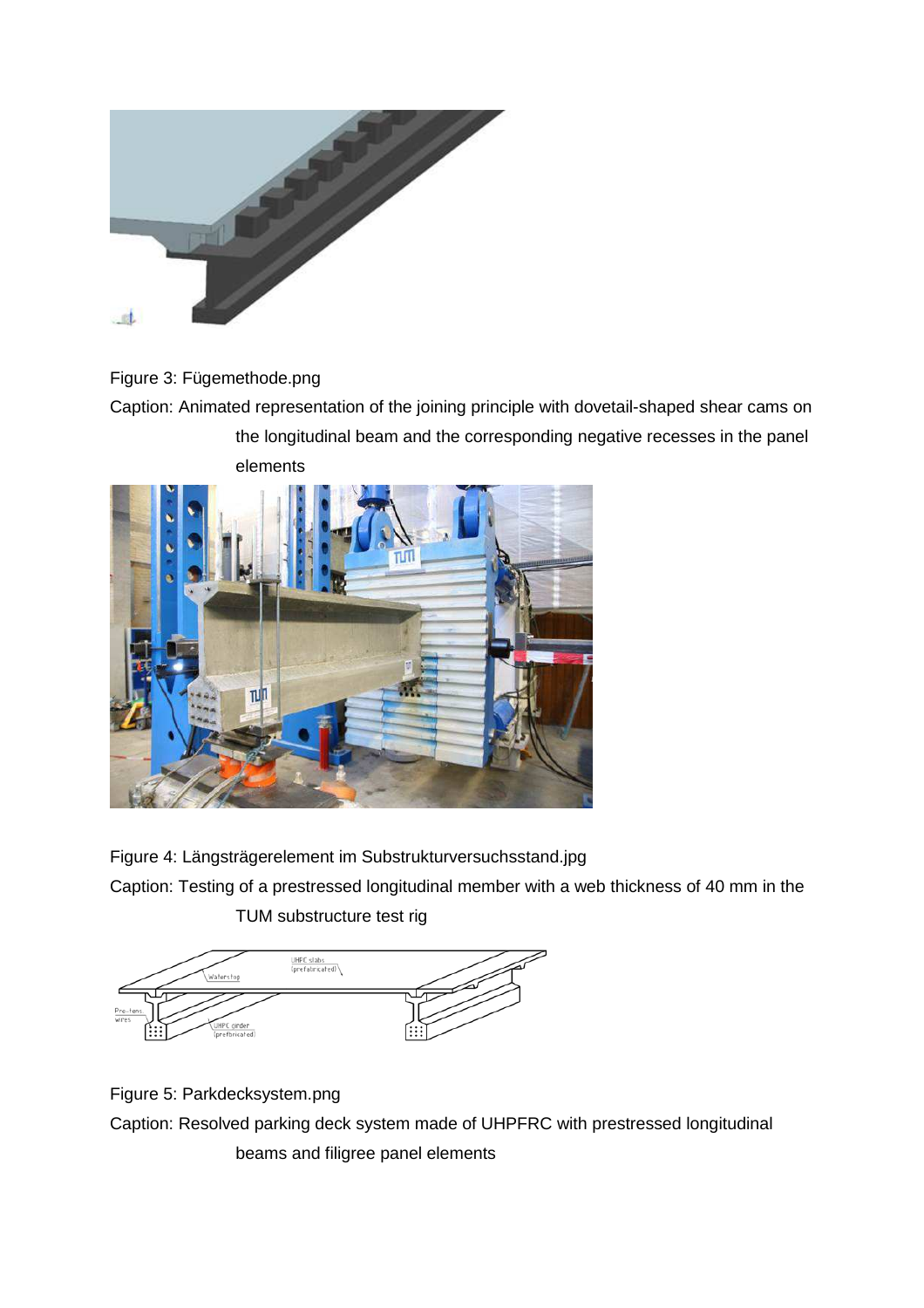

## Figure 3: Fügemethode.png

Caption: Animated representation of the joining principle with dovetail-shaped shear cams on the longitudinal beam and the corresponding negative recesses in the panel elements



Figure 4: Längsträgerelement im Substrukturversuchsstand.jpg

Caption: Testing of a prestressed longitudinal member with a web thickness of 40 mm in the

TUM substructure test rig



Figure 5: Parkdecksystem.png Caption: Resolved parking deck system made of UHPFRC with prestressed longitudinal beams and filigree panel elements